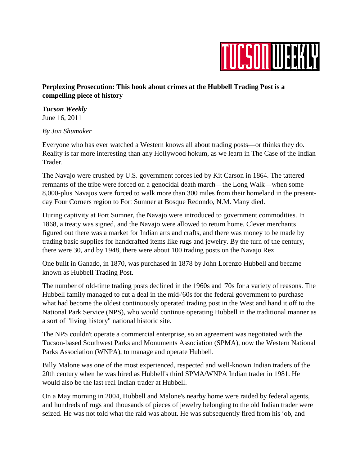

## **Perplexing Prosecution: This book about crimes at the Hubbell Trading Post is a compelling piece of history**

*Tucson Weekly* June 16, 2011

## *By Jon Shumaker*

Everyone who has ever watched a Western knows all about trading posts—or thinks they do. Reality is far more interesting than any Hollywood hokum, as we learn in The Case of the Indian Trader.

The Navajo were crushed by U.S. government forces led by Kit Carson in 1864. The tattered remnants of the tribe were forced on a genocidal death march—the Long Walk—when some 8,000-plus Navajos were forced to walk more than 300 miles from their homeland in the presentday Four Corners region to Fort Sumner at Bosque Redondo, N.M. Many died.

During captivity at Fort Sumner, the Navajo were introduced to government commodities. In 1868, a treaty was signed, and the Navajo were allowed to return home. Clever merchants figured out there was a market for Indian arts and crafts, and there was money to be made by trading basic supplies for handcrafted items like rugs and jewelry. By the turn of the century, there were 30, and by 1948, there were about 100 trading posts on the Navajo Rez.

One built in Ganado, in 1870, was purchased in 1878 by John Lorenzo Hubbell and became known as Hubbell Trading Post.

The number of old-time trading posts declined in the 1960s and '70s for a variety of reasons. The Hubbell family managed to cut a deal in the mid-'60s for the federal government to purchase what had become the oldest continuously operated trading post in the West and hand it off to the National Park Service (NPS), who would continue operating Hubbell in the traditional manner as a sort of "living history" national historic site.

The NPS couldn't operate a commercial enterprise, so an agreement was negotiated with the Tucson-based Southwest Parks and Monuments Association (SPMA), now the Western National Parks Association (WNPA), to manage and operate Hubbell.

Billy Malone was one of the most experienced, respected and well-known Indian traders of the 20th century when he was hired as Hubbell's third SPMA/WNPA Indian trader in 1981. He would also be the last real Indian trader at Hubbell.

On a May morning in 2004, Hubbell and Malone's nearby home were raided by federal agents, and hundreds of rugs and thousands of pieces of jewelry belonging to the old Indian trader were seized. He was not told what the raid was about. He was subsequently fired from his job, and